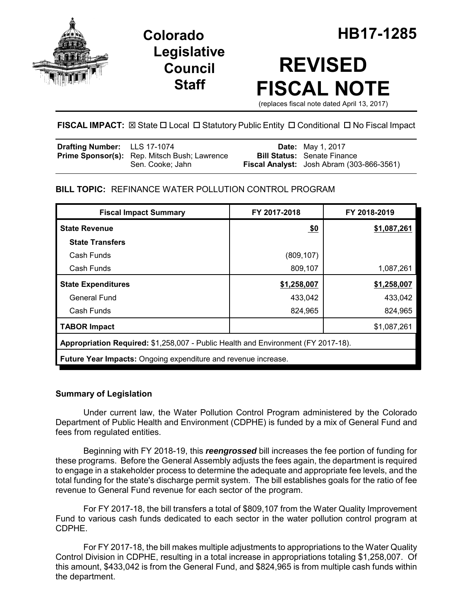

**Legislative Council Staff**

# **REVISED FISCAL NOTE**

(replaces fiscal note dated April 13, 2017)

# **FISCAL IMPACT:**  $\boxtimes$  **State □ Local □ Statutory Public Entity □ Conditional □ No Fiscal Impact**

| <b>Drafting Number:</b> LLS 17-1074 |                                                     | <b>Date:</b> May 1, 2017                         |
|-------------------------------------|-----------------------------------------------------|--------------------------------------------------|
|                                     | <b>Prime Sponsor(s):</b> Rep. Mitsch Bush; Lawrence | <b>Bill Status:</b> Senate Finance               |
|                                     | Sen. Cooke: Jahn                                    | <b>Fiscal Analyst:</b> Josh Abram (303-866-3561) |

# **BILL TOPIC:** REFINANCE WATER POLLUTION CONTROL PROGRAM

| <b>Fiscal Impact Summary</b>                                                      | FY 2017-2018 | FY 2018-2019 |  |  |  |
|-----------------------------------------------------------------------------------|--------------|--------------|--|--|--|
| <b>State Revenue</b>                                                              | \$0          | \$1,087,261  |  |  |  |
| <b>State Transfers</b>                                                            |              |              |  |  |  |
| Cash Funds                                                                        | (809, 107)   |              |  |  |  |
| Cash Funds                                                                        | 809,107      | 1,087,261    |  |  |  |
| <b>State Expenditures</b>                                                         | \$1,258,007  | \$1,258,007  |  |  |  |
| General Fund                                                                      | 433,042      | 433,042      |  |  |  |
| Cash Funds                                                                        | 824,965      | 824,965      |  |  |  |
| <b>TABOR Impact</b>                                                               |              | \$1,087,261  |  |  |  |
| Appropriation Required: \$1,258,007 - Public Health and Environment (FY 2017-18). |              |              |  |  |  |
| Future Year Impacts: Ongoing expenditure and revenue increase.                    |              |              |  |  |  |

## **Summary of Legislation**

Under current law, the Water Pollution Control Program administered by the Colorado Department of Public Health and Environment (CDPHE) is funded by a mix of General Fund and fees from regulated entities.

Beginning with FY 2018-19, this *reengrossed* bill increases the fee portion of funding for these programs. Before the General Assembly adjusts the fees again, the department is required to engage in a stakeholder process to determine the adequate and appropriate fee levels, and the total funding for the state's discharge permit system. The bill establishes goals for the ratio of fee revenue to General Fund revenue for each sector of the program.

For FY 2017-18, the bill transfers a total of \$809,107 from the Water Quality Improvement Fund to various cash funds dedicated to each sector in the water pollution control program at CDPHE.

For FY 2017-18, the bill makes multiple adjustments to appropriations to the Water Quality Control Division in CDPHE, resulting in a total increase in appropriations totaling \$1,258,007. Of this amount, \$433,042 is from the General Fund, and \$824,965 is from multiple cash funds within the department.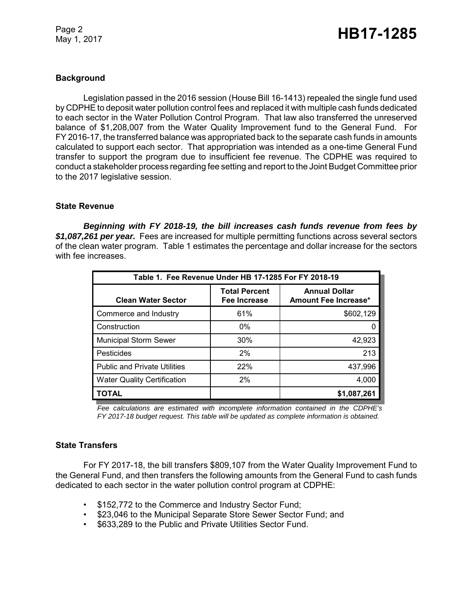Page 2

# Page 2<br>May 1, 2017 **HB17-1285**

#### **Background**

Legislation passed in the 2016 session (House Bill 16-1413) repealed the single fund used by CDPHE to deposit water pollution control fees and replaced it with multiple cash funds dedicated to each sector in the Water Pollution Control Program. That law also transferred the unreserved balance of \$1,208,007 from the Water Quality Improvement fund to the General Fund. For FY 2016-17, the transferred balance was appropriated back to the separate cash funds in amounts calculated to support each sector. That appropriation was intended as a one-time General Fund transfer to support the program due to insufficient fee revenue. The CDPHE was required to conduct a stakeholder process regarding fee setting and report to the Joint Budget Committee prior to the 2017 legislative session.

#### **State Revenue**

*Beginning with FY 2018-19, the bill increases cash funds revenue from fees by \$1,087,261 per year.* Fees are increased for multiple permitting functions across several sectors of the clean water program. Table 1 estimates the percentage and dollar increase for the sectors with fee increases.

| Table 1. Fee Revenue Under HB 17-1285 For FY 2018-19 |                                      |                                              |  |  |
|------------------------------------------------------|--------------------------------------|----------------------------------------------|--|--|
| <b>Clean Water Sector</b>                            | <b>Total Percent</b><br>Fee Increase | <b>Annual Dollar</b><br>Amount Fee Increase* |  |  |
| Commerce and Industry                                | 61%                                  | \$602,129                                    |  |  |
| Construction                                         | $0\%$                                |                                              |  |  |
| <b>Municipal Storm Sewer</b>                         | 30%                                  | 42,923                                       |  |  |
| Pesticides                                           | 2%                                   | 213                                          |  |  |
| <b>Public and Private Utilities</b>                  | 22%                                  | 437,996                                      |  |  |
| <b>Water Quality Certification</b>                   | 2%                                   | 4,000                                        |  |  |
| <b>TOTAL</b>                                         |                                      | \$1,087,261                                  |  |  |

*Fee calculations are estimated with incomplete information contained in the CDPHE's FY 2017-18 budget request. This table will be updated as complete information is obtained.*

#### **State Transfers**

For FY 2017-18, the bill transfers \$809,107 from the Water Quality Improvement Fund to the General Fund, and then transfers the following amounts from the General Fund to cash funds dedicated to each sector in the water pollution control program at CDPHE:

- \$152,772 to the Commerce and Industry Sector Fund;
- \$23,046 to the Municipal Separate Store Sewer Sector Fund; and
- \$633,289 to the Public and Private Utilities Sector Fund.